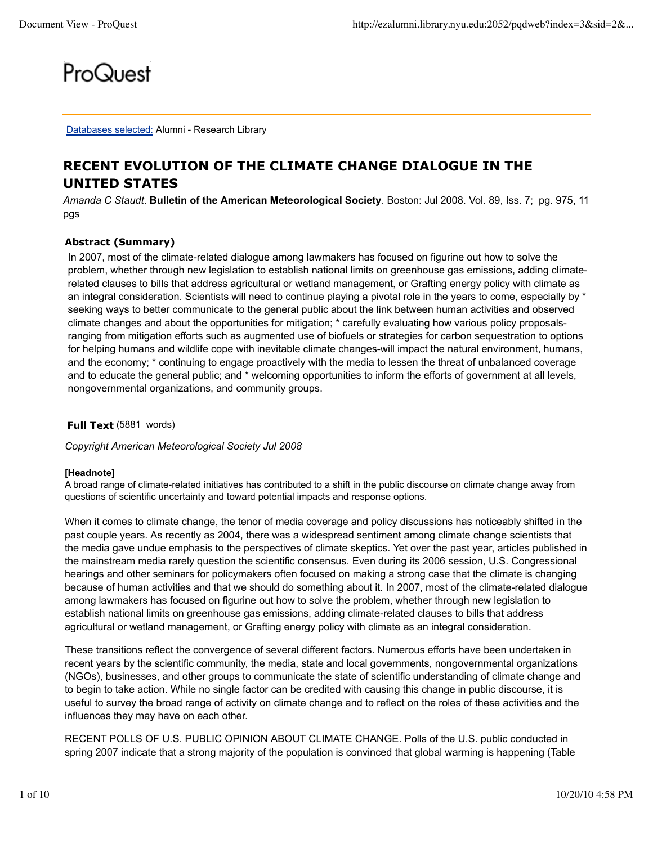# ProQuest

Databases selected: Alumni - Research Library

# **RECENT EVOLUTION OF THE CLIMATE CHANGE DIALOGUE IN THE UNITED STATES**

*Amanda C Staudt*. **Bulletin of the American Meteorological Society**. Boston: Jul 2008. Vol. 89, Iss. 7; pg. 975, 11 pgs

# **Abstract (Summary)**

In 2007, most of the climate-related dialogue among lawmakers has focused on figurine out how to solve the problem, whether through new legislation to establish national limits on greenhouse gas emissions, adding climaterelated clauses to bills that address agricultural or wetland management, or Grafting energy policy with climate as an integral consideration. Scientists will need to continue playing a pivotal role in the years to come, especially by \* seeking ways to better communicate to the general public about the link between human activities and observed climate changes and about the opportunities for mitigation; \* carefully evaluating how various policy proposalsranging from mitigation efforts such as augmented use of biofuels or strategies for carbon sequestration to options for helping humans and wildlife cope with inevitable climate changes-will impact the natural environment, humans, and the economy; \* continuing to engage proactively with the media to lessen the threat of unbalanced coverage and to educate the general public; and \* welcoming opportunities to inform the efforts of government at all levels, nongovernmental organizations, and community groups.

**Full Text** (5881 words)

*Copyright American Meteorological Society Jul 2008*

#### **[Headnote]**

A broad range of climate-related initiatives has contributed to a shift in the public discourse on climate change away from questions of scientific uncertainty and toward potential impacts and response options.

When it comes to climate change, the tenor of media coverage and policy discussions has noticeably shifted in the past couple years. As recently as 2004, there was a widespread sentiment among climate change scientists that the media gave undue emphasis to the perspectives of climate skeptics. Yet over the past year, articles published in the mainstream media rarely question the scientific consensus. Even during its 2006 session, U.S. Congressional hearings and other seminars for policymakers often focused on making a strong case that the climate is changing because of human activities and that we should do something about it. In 2007, most of the climate-related dialogue among lawmakers has focused on figurine out how to solve the problem, whether through new legislation to establish national limits on greenhouse gas emissions, adding climate-related clauses to bills that address agricultural or wetland management, or Grafting energy policy with climate as an integral consideration.

These transitions reflect the convergence of several different factors. Numerous efforts have been undertaken in recent years by the scientific community, the media, state and local governments, nongovernmental organizations (NGOs), businesses, and other groups to communicate the state of scientific understanding of climate change and to begin to take action. While no single factor can be credited with causing this change in public discourse, it is useful to survey the broad range of activity on climate change and to reflect on the roles of these activities and the influences they may have on each other.

RECENT POLLS OF U.S. PUBLIC OPINION ABOUT CLIMATE CHANGE. Polls of the U.S. public conducted in spring 2007 indicate that a strong majority of the population is convinced that global warming is happening (Table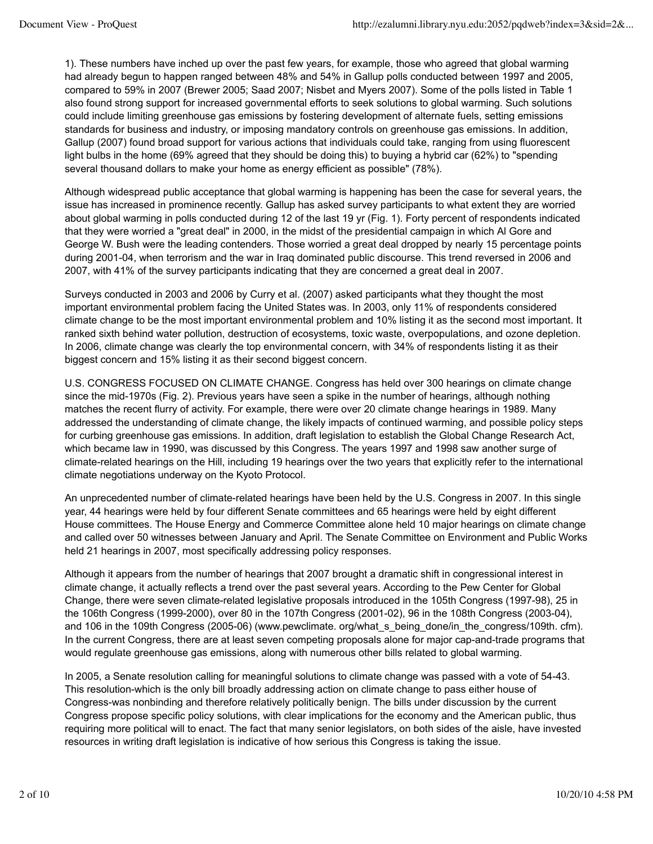1). These numbers have inched up over the past few years, for example, those who agreed that global warming had already begun to happen ranged between 48% and 54% in Gallup polls conducted between 1997 and 2005, compared to 59% in 2007 (Brewer 2005; Saad 2007; Nisbet and Myers 2007). Some of the polls listed in Table 1 also found strong support for increased governmental efforts to seek solutions to global warming. Such solutions could include limiting greenhouse gas emissions by fostering development of alternate fuels, setting emissions standards for business and industry, or imposing mandatory controls on greenhouse gas emissions. In addition, Gallup (2007) found broad support for various actions that individuals could take, ranging from using fluorescent light bulbs in the home (69% agreed that they should be doing this) to buying a hybrid car (62%) to "spending several thousand dollars to make your home as energy efficient as possible" (78%).

Although widespread public acceptance that global warming is happening has been the case for several years, the issue has increased in prominence recently. Gallup has asked survey participants to what extent they are worried about global warming in polls conducted during 12 of the last 19 yr (Fig. 1). Forty percent of respondents indicated that they were worried a "great deal" in 2000, in the midst of the presidential campaign in which Al Gore and George W. Bush were the leading contenders. Those worried a great deal dropped by nearly 15 percentage points during 2001-04, when terrorism and the war in Iraq dominated public discourse. This trend reversed in 2006 and 2007, with 41% of the survey participants indicating that they are concerned a great deal in 2007.

Surveys conducted in 2003 and 2006 by Curry et al. (2007) asked participants what they thought the most important environmental problem facing the United States was. In 2003, only 11% of respondents considered climate change to be the most important environmental problem and 10% listing it as the second most important. It ranked sixth behind water pollution, destruction of ecosystems, toxic waste, overpopulations, and ozone depletion. In 2006, climate change was clearly the top environmental concern, with 34% of respondents listing it as their biggest concern and 15% listing it as their second biggest concern.

U.S. CONGRESS FOCUSED ON CLIMATE CHANGE. Congress has held over 300 hearings on climate change since the mid-1970s (Fig. 2). Previous years have seen a spike in the number of hearings, although nothing matches the recent flurry of activity. For example, there were over 20 climate change hearings in 1989. Many addressed the understanding of climate change, the likely impacts of continued warming, and possible policy steps for curbing greenhouse gas emissions. In addition, draft legislation to establish the Global Change Research Act, which became law in 1990, was discussed by this Congress. The years 1997 and 1998 saw another surge of climate-related hearings on the Hill, including 19 hearings over the two years that explicitly refer to the international climate negotiations underway on the Kyoto Protocol.

An unprecedented number of climate-related hearings have been held by the U.S. Congress in 2007. In this single year, 44 hearings were held by four different Senate committees and 65 hearings were held by eight different House committees. The House Energy and Commerce Committee alone held 10 major hearings on climate change and called over 50 witnesses between January and April. The Senate Committee on Environment and Public Works held 21 hearings in 2007, most specifically addressing policy responses.

Although it appears from the number of hearings that 2007 brought a dramatic shift in congressional interest in climate change, it actually reflects a trend over the past several years. According to the Pew Center for Global Change, there were seven climate-related legislative proposals introduced in the 105th Congress (1997-98), 25 in the 106th Congress (1999-2000), over 80 in the 107th Congress (2001-02), 96 in the 108th Congress (2003-04), and 106 in the 109th Congress (2005-06) (www.pewclimate. org/what s being done/in the congress/109th. cfm). In the current Congress, there are at least seven competing proposals alone for major cap-and-trade programs that would regulate greenhouse gas emissions, along with numerous other bills related to global warming.

In 2005, a Senate resolution calling for meaningful solutions to climate change was passed with a vote of 54-43. This resolution-which is the only bill broadly addressing action on climate change to pass either house of Congress-was nonbinding and therefore relatively politically benign. The bills under discussion by the current Congress propose specific policy solutions, with clear implications for the economy and the American public, thus requiring more political will to enact. The fact that many senior legislators, on both sides of the aisle, have invested resources in writing draft legislation is indicative of how serious this Congress is taking the issue.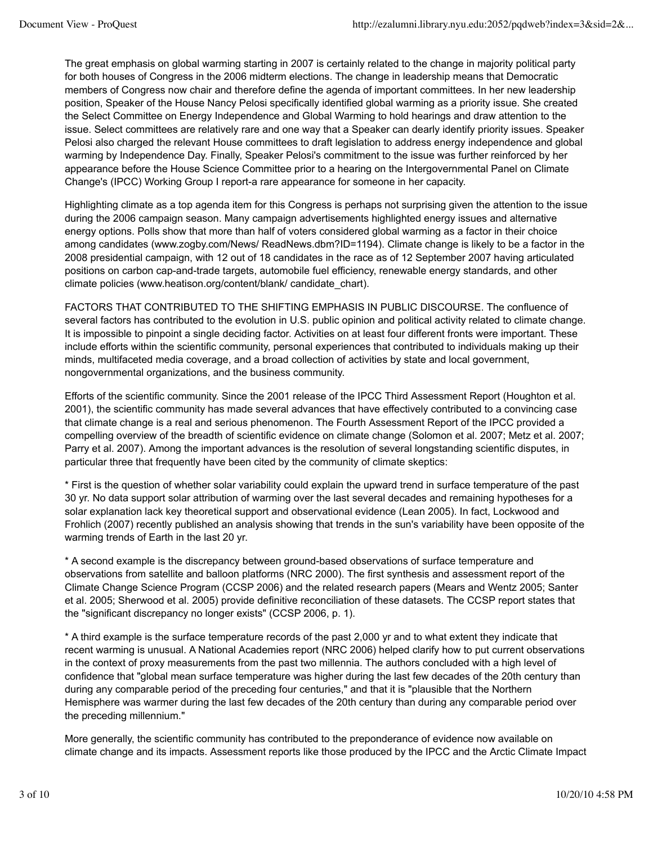The great emphasis on global warming starting in 2007 is certainly related to the change in majority political party for both houses of Congress in the 2006 midterm elections. The change in leadership means that Democratic members of Congress now chair and therefore define the agenda of important committees. In her new leadership position, Speaker of the House Nancy Pelosi specifically identified global warming as a priority issue. She created the Select Committee on Energy Independence and Global Warming to hold hearings and draw attention to the issue. Select committees are relatively rare and one way that a Speaker can dearly identify priority issues. Speaker Pelosi also charged the relevant House committees to draft legislation to address energy independence and global warming by Independence Day. Finally, Speaker Pelosi's commitment to the issue was further reinforced by her appearance before the House Science Committee prior to a hearing on the Intergovernmental Panel on Climate Change's (IPCC) Working Group I report-a rare appearance for someone in her capacity.

Highlighting climate as a top agenda item for this Congress is perhaps not surprising given the attention to the issue during the 2006 campaign season. Many campaign advertisements highlighted energy issues and alternative energy options. Polls show that more than half of voters considered global warming as a factor in their choice among candidates (www.zogby.com/News/ ReadNews.dbm?ID=1194). Climate change is likely to be a factor in the 2008 presidential campaign, with 12 out of 18 candidates in the race as of 12 September 2007 having articulated positions on carbon cap-and-trade targets, automobile fuel efficiency, renewable energy standards, and other climate policies (www.heatison.org/content/blank/ candidate\_chart).

FACTORS THAT CONTRIBUTED TO THE SHIFTING EMPHASIS IN PUBLIC DISCOURSE. The confluence of several factors has contributed to the evolution in U.S. public opinion and political activity related to climate change. It is impossible to pinpoint a single deciding factor. Activities on at least four different fronts were important. These include efforts within the scientific community, personal experiences that contributed to individuals making up their minds, multifaceted media coverage, and a broad collection of activities by state and local government, nongovernmental organizations, and the business community.

Efforts of the scientific community. Since the 2001 release of the IPCC Third Assessment Report (Houghton et al. 2001), the scientific community has made several advances that have effectively contributed to a convincing case that climate change is a real and serious phenomenon. The Fourth Assessment Report of the IPCC provided a compelling overview of the breadth of scientific evidence on climate change (Solomon et al. 2007; Metz et al. 2007; Parry et al. 2007). Among the important advances is the resolution of several longstanding scientific disputes, in particular three that frequently have been cited by the community of climate skeptics:

\* First is the question of whether solar variability could explain the upward trend in surface temperature of the past 30 yr. No data support solar attribution of warming over the last several decades and remaining hypotheses for a solar explanation lack key theoretical support and observational evidence (Lean 2005). In fact, Lockwood and Frohlich (2007) recently published an analysis showing that trends in the sun's variability have been opposite of the warming trends of Earth in the last 20 yr.

\* A second example is the discrepancy between ground-based observations of surface temperature and observations from satellite and balloon platforms (NRC 2000). The first synthesis and assessment report of the Climate Change Science Program (CCSP 2006) and the related research papers (Mears and Wentz 2005; Santer et al. 2005; Sherwood et al. 2005) provide definitive reconciliation of these datasets. The CCSP report states that the "significant discrepancy no longer exists" (CCSP 2006, p. 1).

\* A third example is the surface temperature records of the past 2,000 yr and to what extent they indicate that recent warming is unusual. A National Academies report (NRC 2006) helped clarify how to put current observations in the context of proxy measurements from the past two millennia. The authors concluded with a high level of confidence that "global mean surface temperature was higher during the last few decades of the 20th century than during any comparable period of the preceding four centuries," and that it is "plausible that the Northern Hemisphere was warmer during the last few decades of the 20th century than during any comparable period over the preceding millennium."

More generally, the scientific community has contributed to the preponderance of evidence now available on climate change and its impacts. Assessment reports like those produced by the IPCC and the Arctic Climate Impact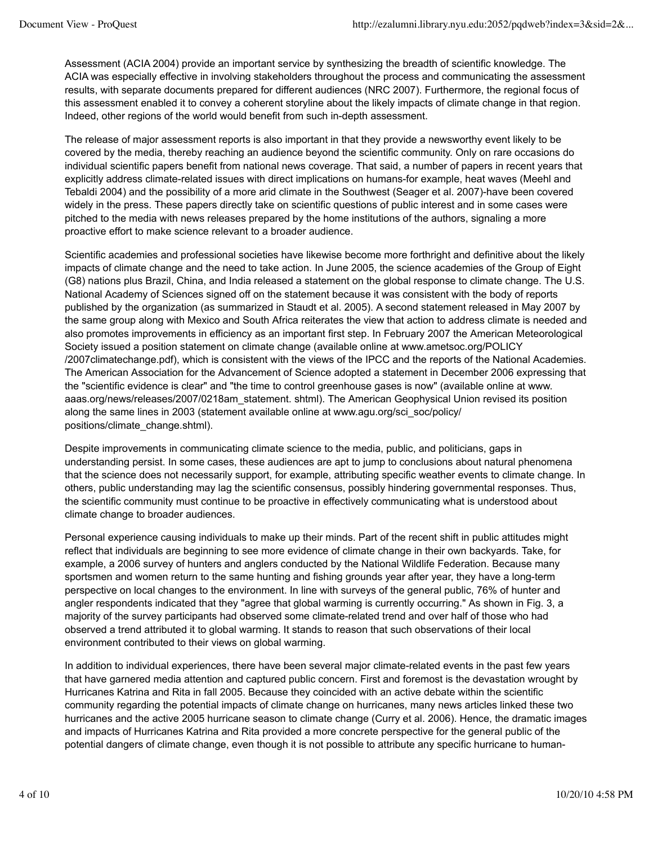Assessment (ACIA 2004) provide an important service by synthesizing the breadth of scientific knowledge. The ACIA was especially effective in involving stakeholders throughout the process and communicating the assessment results, with separate documents prepared for different audiences (NRC 2007). Furthermore, the regional focus of this assessment enabled it to convey a coherent storyline about the likely impacts of climate change in that region. Indeed, other regions of the world would benefit from such in-depth assessment.

The release of major assessment reports is also important in that they provide a newsworthy event likely to be covered by the media, thereby reaching an audience beyond the scientific community. Only on rare occasions do individual scientific papers benefit from national news coverage. That said, a number of papers in recent years that explicitly address climate-related issues with direct implications on humans-for example, heat waves (Meehl and Tebaldi 2004) and the possibility of a more arid climate in the Southwest (Seager et al. 2007)-have been covered widely in the press. These papers directly take on scientific questions of public interest and in some cases were pitched to the media with news releases prepared by the home institutions of the authors, signaling a more proactive effort to make science relevant to a broader audience.

Scientific academies and professional societies have likewise become more forthright and definitive about the likely impacts of climate change and the need to take action. In June 2005, the science academies of the Group of Eight (G8) nations plus Brazil, China, and India released a statement on the global response to climate change. The U.S. National Academy of Sciences signed off on the statement because it was consistent with the body of reports published by the organization (as summarized in Staudt et al. 2005). A second statement released in May 2007 by the same group along with Mexico and South Africa reiterates the view that action to address climate is needed and also promotes improvements in efficiency as an important first step. In February 2007 the American Meteorological Society issued a position statement on climate change (available online at www.ametsoc.org/POLICY /2007climatechange.pdf), which is consistent with the views of the IPCC and the reports of the National Academies. The American Association for the Advancement of Science adopted a statement in December 2006 expressing that the "scientific evidence is clear" and "the time to control greenhouse gases is now" (available online at www. aaas.org/news/releases/2007/0218am\_statement. shtml). The American Geophysical Union revised its position along the same lines in 2003 (statement available online at www.agu.org/sci\_soc/policy/ positions/climate\_change.shtml).

Despite improvements in communicating climate science to the media, public, and politicians, gaps in understanding persist. In some cases, these audiences are apt to jump to conclusions about natural phenomena that the science does not necessarily support, for example, attributing specific weather events to climate change. In others, public understanding may lag the scientific consensus, possibly hindering governmental responses. Thus, the scientific community must continue to be proactive in effectively communicating what is understood about climate change to broader audiences.

Personal experience causing individuals to make up their minds. Part of the recent shift in public attitudes might reflect that individuals are beginning to see more evidence of climate change in their own backyards. Take, for example, a 2006 survey of hunters and anglers conducted by the National Wildlife Federation. Because many sportsmen and women return to the same hunting and fishing grounds year after year, they have a long-term perspective on local changes to the environment. In line with surveys of the general public, 76% of hunter and angler respondents indicated that they "agree that global warming is currently occurring." As shown in Fig. 3, a majority of the survey participants had observed some climate-related trend and over half of those who had observed a trend attributed it to global warming. It stands to reason that such observations of their local environment contributed to their views on global warming.

In addition to individual experiences, there have been several major climate-related events in the past few years that have garnered media attention and captured public concern. First and foremost is the devastation wrought by Hurricanes Katrina and Rita in fall 2005. Because they coincided with an active debate within the scientific community regarding the potential impacts of climate change on hurricanes, many news articles linked these two hurricanes and the active 2005 hurricane season to climate change (Curry et al. 2006). Hence, the dramatic images and impacts of Hurricanes Katrina and Rita provided a more concrete perspective for the general public of the potential dangers of climate change, even though it is not possible to attribute any specific hurricane to human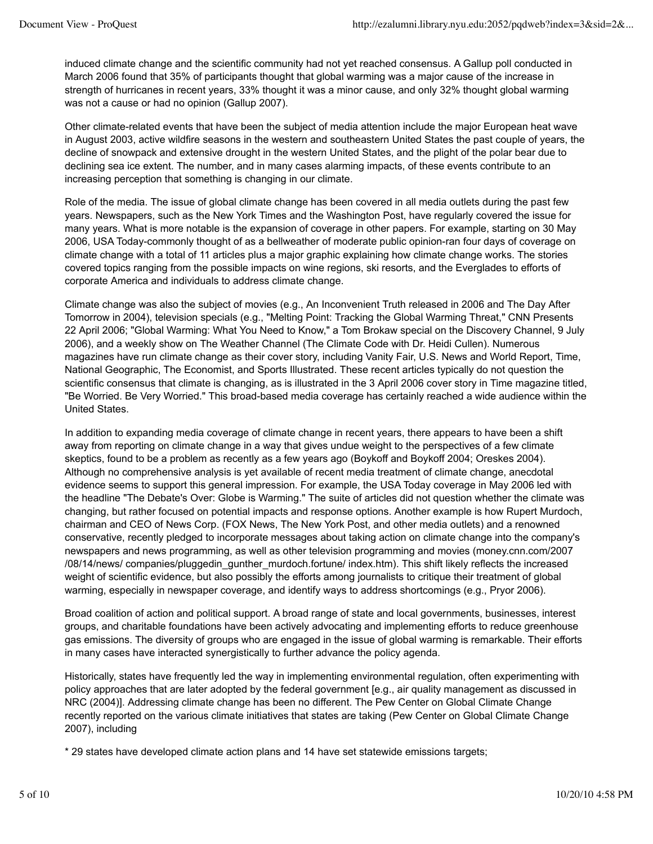induced climate change and the scientific community had not yet reached consensus. A Gallup poll conducted in March 2006 found that 35% of participants thought that global warming was a major cause of the increase in strength of hurricanes in recent years, 33% thought it was a minor cause, and only 32% thought global warming was not a cause or had no opinion (Gallup 2007).

Other climate-related events that have been the subject of media attention include the major European heat wave in August 2003, active wildfire seasons in the western and southeastern United States the past couple of years, the decline of snowpack and extensive drought in the western United States, and the plight of the polar bear due to declining sea ice extent. The number, and in many cases alarming impacts, of these events contribute to an increasing perception that something is changing in our climate.

Role of the media. The issue of global climate change has been covered in all media outlets during the past few years. Newspapers, such as the New York Times and the Washington Post, have regularly covered the issue for many years. What is more notable is the expansion of coverage in other papers. For example, starting on 30 May 2006, USA Today-commonly thought of as a bellweather of moderate public opinion-ran four days of coverage on climate change with a total of 11 articles plus a major graphic explaining how climate change works. The stories covered topics ranging from the possible impacts on wine regions, ski resorts, and the Everglades to efforts of corporate America and individuals to address climate change.

Climate change was also the subject of movies (e.g., An Inconvenient Truth released in 2006 and The Day After Tomorrow in 2004), television specials (e.g., "Melting Point: Tracking the Global Warming Threat," CNN Presents 22 April 2006; "Global Warming: What You Need to Know," a Tom Brokaw special on the Discovery Channel, 9 July 2006), and a weekly show on The Weather Channel (The Climate Code with Dr. Heidi Cullen). Numerous magazines have run climate change as their cover story, including Vanity Fair, U.S. News and World Report, Time, National Geographic, The Economist, and Sports Illustrated. These recent articles typically do not question the scientific consensus that climate is changing, as is illustrated in the 3 April 2006 cover story in Time magazine titled, "Be Worried. Be Very Worried." This broad-based media coverage has certainly reached a wide audience within the United States.

In addition to expanding media coverage of climate change in recent years, there appears to have been a shift away from reporting on climate change in a way that gives undue weight to the perspectives of a few climate skeptics, found to be a problem as recently as a few years ago (Boykoff and Boykoff 2004; Oreskes 2004). Although no comprehensive analysis is yet available of recent media treatment of climate change, anecdotal evidence seems to support this general impression. For example, the USA Today coverage in May 2006 led with the headline "The Debate's Over: Globe is Warming." The suite of articles did not question whether the climate was changing, but rather focused on potential impacts and response options. Another example is how Rupert Murdoch, chairman and CEO of News Corp. (FOX News, The New York Post, and other media outlets) and a renowned conservative, recently pledged to incorporate messages about taking action on climate change into the company's newspapers and news programming, as well as other television programming and movies (money.cnn.com/2007 /08/14/news/ companies/pluggedin\_gunther\_murdoch.fortune/ index.htm). This shift likely reflects the increased weight of scientific evidence, but also possibly the efforts among journalists to critique their treatment of global warming, especially in newspaper coverage, and identify ways to address shortcomings (e.g., Pryor 2006).

Broad coalition of action and political support. A broad range of state and local governments, businesses, interest groups, and charitable foundations have been actively advocating and implementing efforts to reduce greenhouse gas emissions. The diversity of groups who are engaged in the issue of global warming is remarkable. Their efforts in many cases have interacted synergistically to further advance the policy agenda.

Historically, states have frequently led the way in implementing environmental regulation, often experimenting with policy approaches that are later adopted by the federal government [e.g., air quality management as discussed in NRC (2004)]. Addressing climate change has been no different. The Pew Center on Global Climate Change recently reported on the various climate initiatives that states are taking (Pew Center on Global Climate Change 2007), including

\* 29 states have developed climate action plans and 14 have set statewide emissions targets;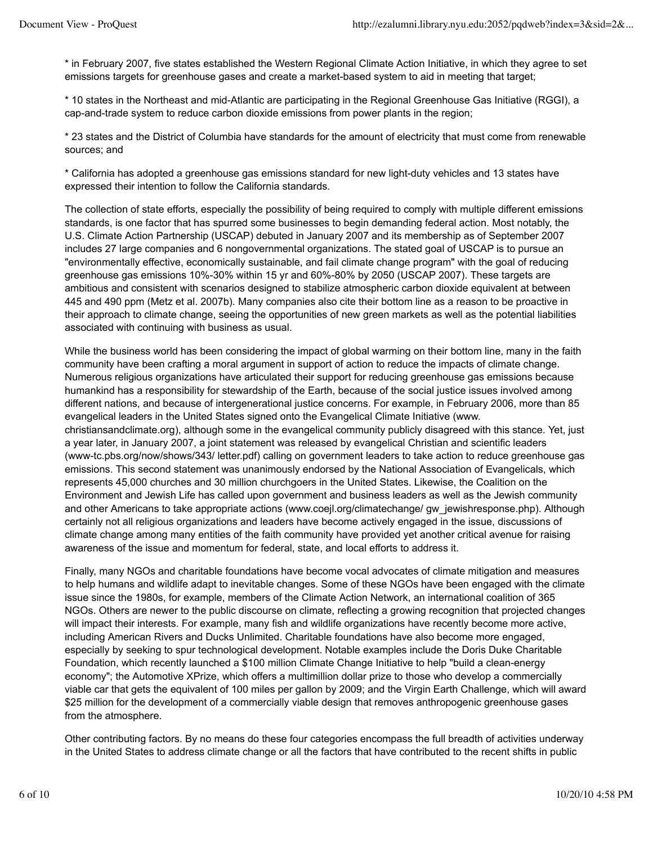\* in February 2007, five states established the Western Regional Climate Action Initiative, in which they agree to set emissions targets for greenhouse gases and create a market-based system to aid in meeting that target;

\* 10 states in the Northeast and mid-Atlantic are participating in the Regional Greenhouse Gas Initiative (RGGI), a cap-and-trade system to reduce carbon dioxide emissions from power plants in the region;

\* 23 states and the District of Columbia have standards for the amount of electricity that must come from renewable sources; and

\* California has adopted a greenhouse gas emissions standard for new light-duty vehicles and 13 states have expressed their intention to follow the California standards.

The collection of state efforts, especially the possibility of being required to comply with multiple different emissions standards, is one factor that has spurred some businesses to begin demanding federal action. Most notably, the U.S. Climate Action Partnership (USCAP) debuted in January 2007 and its membership as of September 2007 includes 27 large companies and 6 nongovernmental organizations. The stated goal of USCAP is to pursue an "environmentally effective, economically sustainable, and fail climate change program" with the goal of reducing greenhouse gas emissions 10%-30% within 15 yr and 60%-80% by 2050 (USCAP 2007). These targets are ambitious and consistent with scenarios designed to stabilize atmospheric carbon dioxide equivalent at between 445 and 490 ppm (Metz et al. 2007b). Many companies also cite their bottom line as a reason to be proactive in their approach to climate change, seeing the opportunities of new green markets as well as the potential liabilities associated with continuing with business as usual.

While the business world has been considering the impact of global warming on their bottom line, many in the faith community have been crafting a moral argument in support of action to reduce the impacts of climate change. Numerous religious organizations have articulated their support for reducing greenhouse gas emissions because humankind has a responsibility for stewardship of the Earth, because of the social justice issues involved among different nations, and because of intergenerational justice concerns. For example, in February 2006, more than 85 evangelical leaders in the United States signed onto the Evangelical Climate Initiative (www. christiansandclimate.org), although some in the evangelical community publicly disagreed with this stance. Yet, just a year later, in January 2007, a joint statement was released by evangelical Christian and scientific leaders (www-tc.pbs.org/now/shows/343/ letter.pdf) calling on government leaders to take action to reduce greenhouse gas emissions. This second statement was unanimously endorsed by the National Association of Evangelicals, which represents 45,000 churches and 30 million churchgoers in the United States. Likewise, the Coalition on the Environment and Jewish Life has called upon government and business leaders as well as the Jewish community and other Americans to take appropriate actions (www.coejl.org/climatechange/ gw\_jewishresponse.php). Although certainly not all religious organizations and leaders have become actively engaged in the issue, discussions of climate change among many entities of the faith community have provided yet another critical avenue for raising awareness of the issue and momentum for federal, state, and local efforts to address it.

Finally, many NGOs and charitable foundations have become vocal advocates of climate mitigation and measures to help humans and wildlife adapt to inevitable changes. Some of these NGOs have been engaged with the climate issue since the 1980s, for example, members of the Climate Action Network, an international coalition of 365 NGOs. Others are newer to the public discourse on climate, reflecting a growing recognition that projected changes will impact their interests. For example, many fish and wildlife organizations have recently become more active, including American Rivers and Ducks Unlimited. Charitable foundations have also become more engaged, especially by seeking to spur technological development. Notable examples include the Doris Duke Charitable Foundation, which recently launched a \$100 million Climate Change Initiative to help "build a clean-energy economy"; the Automotive XPrize, which offers a multimillion dollar prize to those who develop a commercially viable car that gets the equivalent of 100 miles per gallon by 2009; and the Virgin Earth Challenge, which will award \$25 million for the development of a commercially viable design that removes anthropogenic greenhouse gases from the atmosphere.

Other contributing factors. By no means do these four categories encompass the full breadth of activities underway in the United States to address climate change or all the factors that have contributed to the recent shifts in public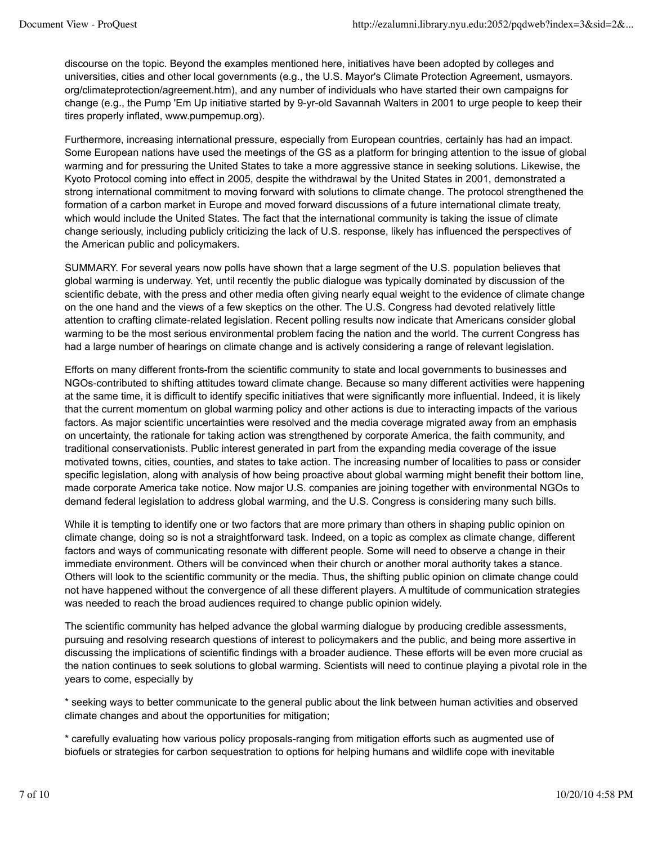discourse on the topic. Beyond the examples mentioned here, initiatives have been adopted by colleges and universities, cities and other local governments (e.g., the U.S. Mayor's Climate Protection Agreement, usmayors. org/climateprotection/agreement.htm), and any number of individuals who have started their own campaigns for change (e.g., the Pump 'Em Up initiative started by 9-yr-old Savannah Walters in 2001 to urge people to keep their tires properly inflated, www.pumpemup.org).

Furthermore, increasing international pressure, especially from European countries, certainly has had an impact. Some European nations have used the meetings of the GS as a platform for bringing attention to the issue of global warming and for pressuring the United States to take a more aggressive stance in seeking solutions. Likewise, the Kyoto Protocol coming into effect in 2005, despite the withdrawal by the United States in 2001, demonstrated a strong international commitment to moving forward with solutions to climate change. The protocol strengthened the formation of a carbon market in Europe and moved forward discussions of a future international climate treaty, which would include the United States. The fact that the international community is taking the issue of climate change seriously, including publicly criticizing the lack of U.S. response, likely has influenced the perspectives of the American public and policymakers.

SUMMARY. For several years now polls have shown that a large segment of the U.S. population believes that global warming is underway. Yet, until recently the public dialogue was typically dominated by discussion of the scientific debate, with the press and other media often giving nearly equal weight to the evidence of climate change on the one hand and the views of a few skeptics on the other. The U.S. Congress had devoted relatively little attention to crafting climate-related legislation. Recent polling results now indicate that Americans consider global warming to be the most serious environmental problem facing the nation and the world. The current Congress has had a large number of hearings on climate change and is actively considering a range of relevant legislation.

Efforts on many different fronts-from the scientific community to state and local governments to businesses and NGOs-contributed to shifting attitudes toward climate change. Because so many different activities were happening at the same time, it is difficult to identify specific initiatives that were significantly more influential. Indeed, it is likely that the current momentum on global warming policy and other actions is due to interacting impacts of the various factors. As major scientific uncertainties were resolved and the media coverage migrated away from an emphasis on uncertainty, the rationale for taking action was strengthened by corporate America, the faith community, and traditional conservationists. Public interest generated in part from the expanding media coverage of the issue motivated towns, cities, counties, and states to take action. The increasing number of localities to pass or consider specific legislation, along with analysis of how being proactive about global warming might benefit their bottom line, made corporate America take notice. Now major U.S. companies are joining together with environmental NGOs to demand federal legislation to address global warming, and the U.S. Congress is considering many such bills.

While it is tempting to identify one or two factors that are more primary than others in shaping public opinion on climate change, doing so is not a straightforward task. Indeed, on a topic as complex as climate change, different factors and ways of communicating resonate with different people. Some will need to observe a change in their immediate environment. Others will be convinced when their church or another moral authority takes a stance. Others will look to the scientific community or the media. Thus, the shifting public opinion on climate change could not have happened without the convergence of all these different players. A multitude of communication strategies was needed to reach the broad audiences required to change public opinion widely.

The scientific community has helped advance the global warming dialogue by producing credible assessments, pursuing and resolving research questions of interest to policymakers and the public, and being more assertive in discussing the implications of scientific findings with a broader audience. These efforts will be even more crucial as the nation continues to seek solutions to global warming. Scientists will need to continue playing a pivotal role in the years to come, especially by

\* seeking ways to better communicate to the general public about the link between human activities and observed climate changes and about the opportunities for mitigation;

\* carefully evaluating how various policy proposals-ranging from mitigation efforts such as augmented use of biofuels or strategies for carbon sequestration to options for helping humans and wildlife cope with inevitable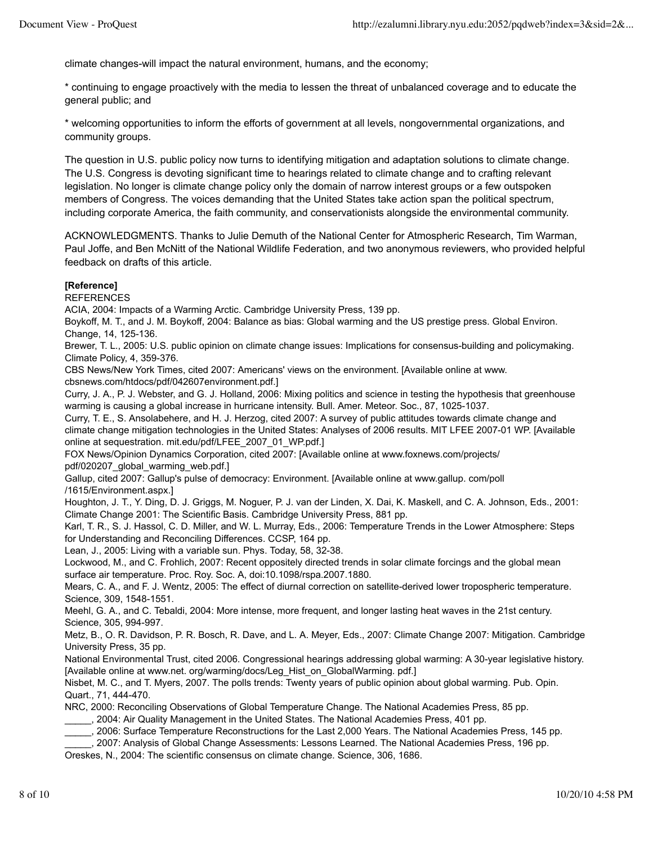climate changes-will impact the natural environment, humans, and the economy;

\* continuing to engage proactively with the media to lessen the threat of unbalanced coverage and to educate the general public; and

\* welcoming opportunities to inform the efforts of government at all levels, nongovernmental organizations, and community groups.

The question in U.S. public policy now turns to identifying mitigation and adaptation solutions to climate change. The U.S. Congress is devoting significant time to hearings related to climate change and to crafting relevant legislation. No longer is climate change policy only the domain of narrow interest groups or a few outspoken members of Congress. The voices demanding that the United States take action span the political spectrum, including corporate America, the faith community, and conservationists alongside the environmental community.

ACKNOWLEDGMENTS. Thanks to Julie Demuth of the National Center for Atmospheric Research, Tim Warman, Paul Joffe, and Ben McNitt of the National Wildlife Federation, and two anonymous reviewers, who provided helpful feedback on drafts of this article.

### **[Reference]**

REFERENCES

ACIA, 2004: Impacts of a Warming Arctic. Cambridge University Press, 139 pp.

Boykoff, M. T., and J. M. Boykoff, 2004: Balance as bias: Global warming and the US prestige press. Global Environ. Change, 14, 125-136.

Brewer, T. L., 2005: U.S. public opinion on climate change issues: Implications for consensus-building and policymaking. Climate Policy, 4, 359-376.

CBS News/New York Times, cited 2007: Americans' views on the environment. [Available online at www. cbsnews.com/htdocs/pdf/042607environment.pdf.]

Curry, J. A., P. J. Webster, and G. J. Holland, 2006: Mixing politics and science in testing the hypothesis that greenhouse warming is causing a global increase in hurricane intensity. Bull. Amer. Meteor. Soc., 87, 1025-1037.

Curry, T. E., S. Ansolabehere, and H. J. Herzog, cited 2007: A survey of public attitudes towards climate change and climate change mitigation technologies in the United States: Analyses of 2006 results. MIT LFEE 2007-01 WP. [Available online at sequestration. mit.edu/pdf/LFEE\_2007\_01\_WP.pdf.]

FOX News/Opinion Dynamics Corporation, cited 2007: [Available online at www.foxnews.com/projects/ pdf/020207\_global\_warming\_web.pdf.]

Gallup, cited 2007: Gallup's pulse of democracy: Environment. [Available online at www.gallup. com/poll /1615/Environment.aspx.]

Houghton, J. T., Y. Ding, D. J. Griggs, M. Noguer, P. J. van der Linden, X. Dai, K. Maskell, and C. A. Johnson, Eds., 2001: Climate Change 2001: The Scientific Basis. Cambridge University Press, 881 pp.

Karl, T. R., S. J. Hassol, C. D. Miller, and W. L. Murray, Eds., 2006: Temperature Trends in the Lower Atmosphere: Steps for Understanding and Reconciling Differences. CCSP, 164 pp.

Lean, J., 2005: Living with a variable sun. Phys. Today, 58, 32-38.

Lockwood, M., and C. Frohlich, 2007: Recent oppositely directed trends in solar climate forcings and the global mean surface air temperature. Proc. Roy. Soc. A, doi:10.1098/rspa.2007.1880.

Mears, C. A., and F. J. Wentz, 2005: The effect of diurnal correction on satellite-derived lower tropospheric temperature. Science, 309, 1548-1551.

Meehl, G. A., and C. Tebaldi, 2004: More intense, more frequent, and longer lasting heat waves in the 21st century. Science, 305, 994-997.

Metz, B., O. R. Davidson, P. R. Bosch, R. Dave, and L. A. Meyer, Eds., 2007: Climate Change 2007: Mitigation. Cambridge University Press, 35 pp.

National Environmental Trust, cited 2006. Congressional hearings addressing global warming: A 30-year legislative history. [Available online at www.net. org/warming/docs/Leg\_Hist\_on\_GlobalWarming. pdf.]

Nisbet, M. C., and T. Myers, 2007. The polls trends: Twenty years of public opinion about global warming. Pub. Opin. Quart., 71, 444-470.

NRC, 2000: Reconciling Observations of Global Temperature Change. The National Academies Press, 85 pp.

\_\_\_\_\_, 2004: Air Quality Management in the United States. The National Academies Press, 401 pp.

\_\_\_\_\_, 2006: Surface Temperature Reconstructions for the Last 2,000 Years. The National Academies Press, 145 pp.

\_\_\_\_\_, 2007: Analysis of Global Change Assessments: Lessons Learned. The National Academies Press, 196 pp.

Oreskes, N., 2004: The scientific consensus on climate change. Science, 306, 1686.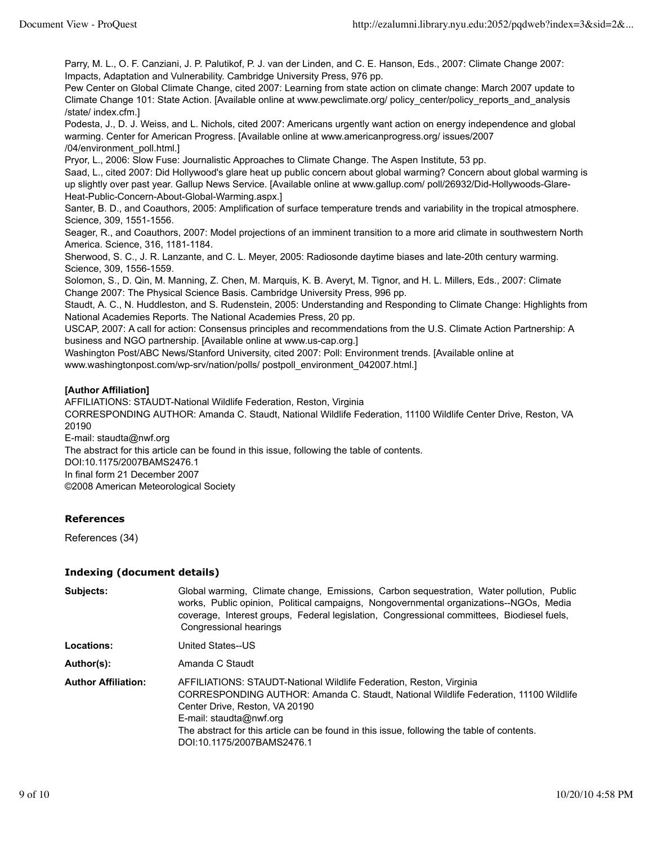Parry, M. L., O. F. Canziani, J. P. Palutikof, P. J. van der Linden, and C. E. Hanson, Eds., 2007: Climate Change 2007: Impacts, Adaptation and Vulnerability. Cambridge University Press, 976 pp.

Pew Center on Global Climate Change, cited 2007: Learning from state action on climate change: March 2007 update to Climate Change 101: State Action. [Available online at www.pewclimate.org/ policy\_center/policy\_reports\_and\_analysis /state/ index.cfm.]

Podesta, J., D. J. Weiss, and L. Nichols, cited 2007: Americans urgently want action on energy independence and global warming. Center for American Progress. [Available online at www.americanprogress.org/ issues/2007 /04/environment\_poll.html.]

Pryor, L., 2006: Slow Fuse: Journalistic Approaches to Climate Change. The Aspen Institute, 53 pp.

Saad, L., cited 2007: Did Hollywood's glare heat up public concern about global warming? Concern about global warming is up slightly over past year. Gallup News Service. [Available online at www.gallup.com/ poll/26932/Did-Hollywoods-Glare-Heat-Public-Concern-About-Global-Warming.aspx.]

Santer, B. D., and Coauthors, 2005: Amplification of surface temperature trends and variability in the tropical atmosphere. Science, 309, 1551-1556.

Seager, R., and Coauthors, 2007: Model projections of an imminent transition to a more arid climate in southwestern North America. Science, 316, 1181-1184.

Sherwood, S. C., J. R. Lanzante, and C. L. Meyer, 2005: Radiosonde daytime biases and late-20th century warming. Science, 309, 1556-1559.

Solomon, S., D. Qin, M. Manning, Z. Chen, M. Marquis, K. B. Averyt, M. Tignor, and H. L. Millers, Eds., 2007: Climate Change 2007: The Physical Science Basis. Cambridge University Press, 996 pp.

Staudt, A. C., N. Huddleston, and S. Rudenstein, 2005: Understanding and Responding to Climate Change: Highlights from National Academies Reports. The National Academies Press, 20 pp.

USCAP, 2007: A call for action: Consensus principles and recommendations from the U.S. Climate Action Partnership: A business and NGO partnership. [Available online at www.us-cap.org.]

Washington Post/ABC News/Stanford University, cited 2007: Poll: Environment trends. [Available online at www.washingtonpost.com/wp-srv/nation/polls/ postpoll\_environment\_042007.html.]

#### **[Author Affiliation]**

AFFILIATIONS: STAUDT-National Wildlife Federation, Reston, Virginia CORRESPONDING AUTHOR: Amanda C. Staudt, National Wildlife Federation, 11100 Wildlife Center Drive, Reston, VA 20190 E-mail: staudta@nwf.org The abstract for this article can be found in this issue, following the table of contents.

DOI:10.1175/2007BAMS2476.1 In final form 21 December 2007

©2008 American Meteorological Society

# **References**

References (34)

#### **Indexing (document details)**

| Subjects:                  | Global warming, Climate change, Emissions, Carbon sequestration, Water pollution, Public<br>works, Public opinion, Political campaigns, Nongovernmental organizations--NGOs, Media<br>coverage, Interest groups, Federal legislation, Congressional committees, Biodiesel fuels,<br>Congressional hearings                                           |
|----------------------------|------------------------------------------------------------------------------------------------------------------------------------------------------------------------------------------------------------------------------------------------------------------------------------------------------------------------------------------------------|
| Locations:                 | United States--US                                                                                                                                                                                                                                                                                                                                    |
| Author(s):                 | Amanda C Staudt                                                                                                                                                                                                                                                                                                                                      |
| <b>Author Affiliation:</b> | AFFILIATIONS: STAUDT-National Wildlife Federation, Reston, Virginia<br>CORRESPONDING AUTHOR: Amanda C. Staudt, National Wildlife Federation, 11100 Wildlife<br>Center Drive, Reston, VA 20190<br>E-mail: staudta@nwf.org<br>The abstract for this article can be found in this issue, following the table of contents.<br>DOI:10.1175/2007BAMS2476.1 |